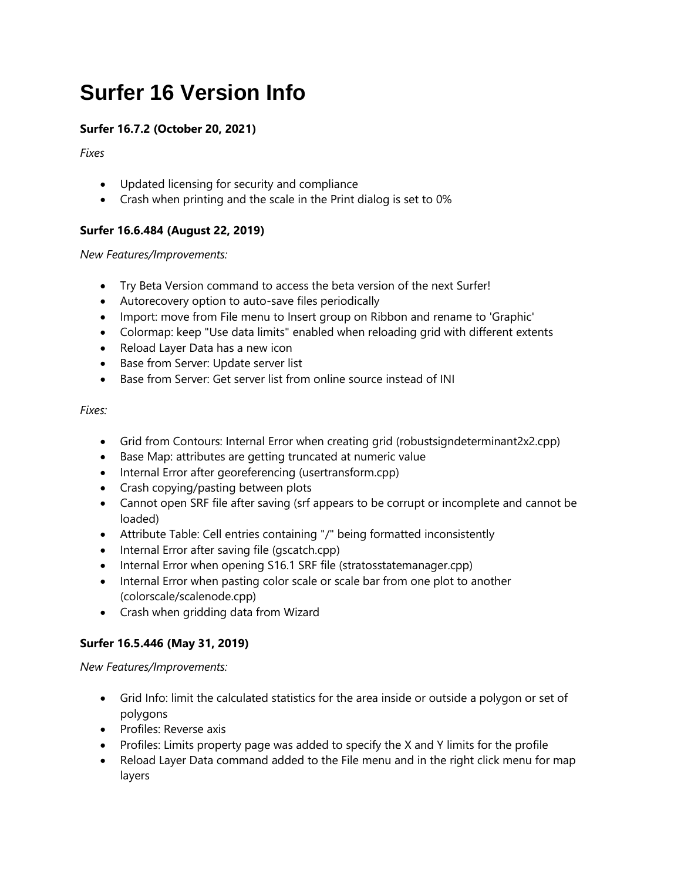# **Surfer 16 Version Info**

# **Surfer 16.7.2 (October 20, 2021)**

*Fixes*

- Updated licensing for security and compliance
- Crash when printing and the scale in the Print dialog is set to 0%

# **Surfer 16.6.484 (August 22, 2019)**

*New Features/Improvements:*

- Try Beta Version command to access the beta version of the next Surfer!
- Autorecovery option to auto-save files periodically
- Import: move from File menu to Insert group on Ribbon and rename to 'Graphic'
- Colormap: keep "Use data limits" enabled when reloading grid with different extents
- Reload Layer Data has a new icon
- Base from Server: Update server list
- Base from Server: Get server list from online source instead of INI

# *Fixes:*

- Grid from Contours: Internal Error when creating grid (robustsigndeterminant2x2.cpp)
- Base Map: attributes are getting truncated at numeric value
- Internal Error after georeferencing (usertransform.cpp)
- Crash copying/pasting between plots
- Cannot open SRF file after saving (srf appears to be corrupt or incomplete and cannot be loaded)
- Attribute Table: Cell entries containing "/" being formatted inconsistently
- Internal Error after saving file (gscatch.cpp)
- Internal Error when opening S16.1 SRF file (stratosstatemanager.cpp)
- Internal Error when pasting color scale or scale bar from one plot to another (colorscale/scalenode.cpp)
- Crash when gridding data from Wizard

# **Surfer 16.5.446 (May 31, 2019)**

*New Features/Improvements:*

- Grid Info: limit the calculated statistics for the area inside or outside a polygon or set of polygons
- Profiles: Reverse axis
- Profiles: Limits property page was added to specify the X and Y limits for the profile
- Reload Layer Data command added to the File menu and in the right click menu for map layers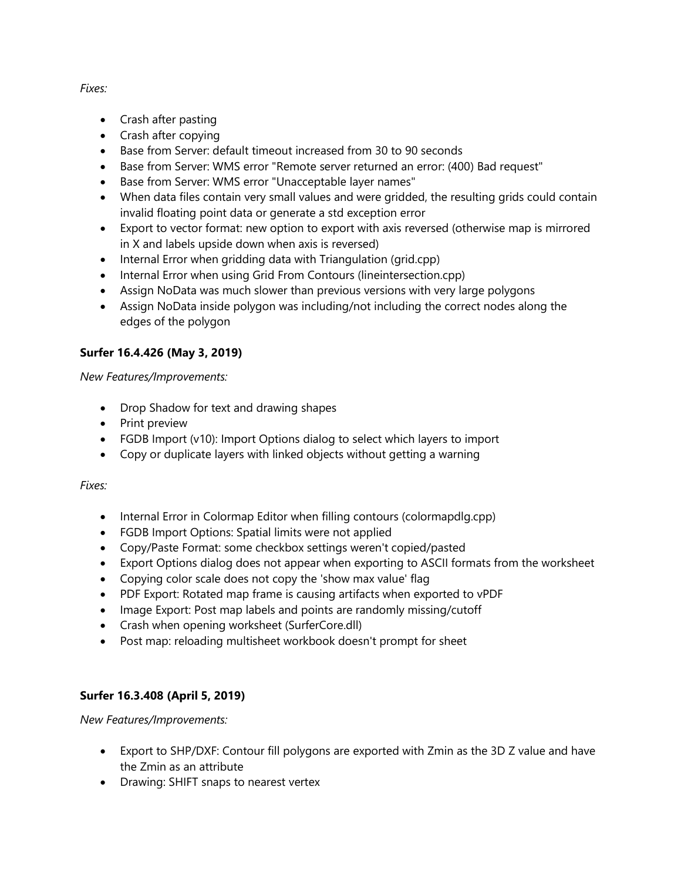## *Fixes:*

- Crash after pasting
- Crash after copying
- Base from Server: default timeout increased from 30 to 90 seconds
- Base from Server: WMS error "Remote server returned an error: (400) Bad request"
- Base from Server: WMS error "Unacceptable layer names"
- When data files contain very small values and were gridded, the resulting grids could contain invalid floating point data or generate a std exception error
- Export to vector format: new option to export with axis reversed (otherwise map is mirrored in X and labels upside down when axis is reversed)
- Internal Error when gridding data with Triangulation (grid.cpp)
- Internal Error when using Grid From Contours (lineintersection.cpp)
- Assign NoData was much slower than previous versions with very large polygons
- Assign NoData inside polygon was including/not including the correct nodes along the edges of the polygon

## **Surfer 16.4.426 (May 3, 2019)**

#### *New Features/Improvements:*

- Drop Shadow for text and drawing shapes
- Print preview
- FGDB Import (v10): Import Options dialog to select which layers to import
- Copy or duplicate layers with linked objects without getting a warning

#### *Fixes:*

- Internal Error in Colormap Editor when filling contours (colormapdlg.cpp)
- FGDB Import Options: Spatial limits were not applied
- Copy/Paste Format: some checkbox settings weren't copied/pasted
- Export Options dialog does not appear when exporting to ASCII formats from the worksheet
- Copying color scale does not copy the 'show max value' flag
- PDF Export: Rotated map frame is causing artifacts when exported to vPDF
- Image Export: Post map labels and points are randomly missing/cutoff
- Crash when opening worksheet (SurferCore.dll)
- Post map: reloading multisheet workbook doesn't prompt for sheet

## **Surfer 16.3.408 (April 5, 2019)**

*New Features/Improvements:*

- Export to SHP/DXF: Contour fill polygons are exported with Zmin as the 3D Z value and have the Zmin as an attribute
- Drawing: SHIFT snaps to nearest vertex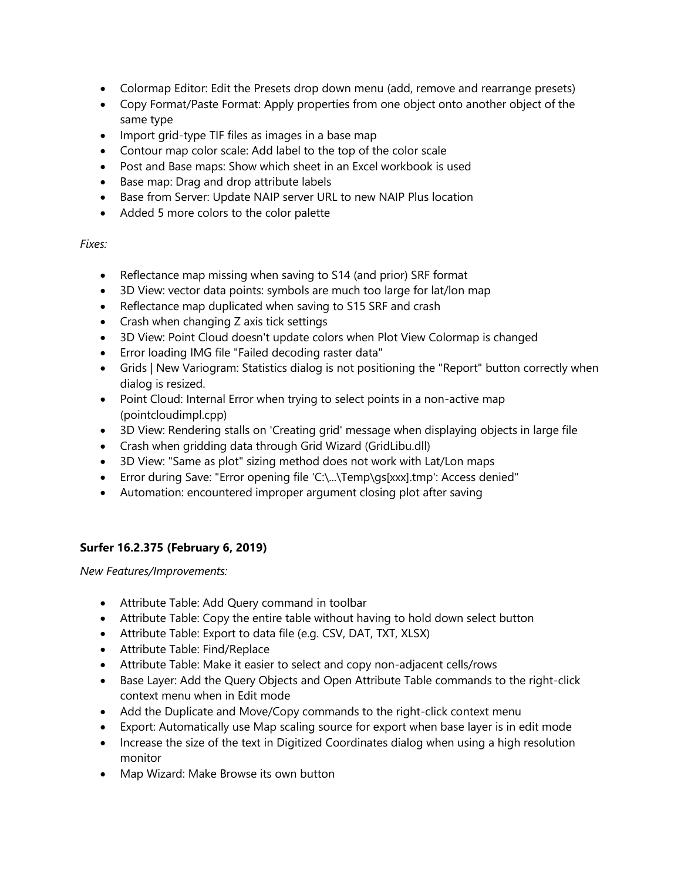- Colormap Editor: Edit the Presets drop down menu (add, remove and rearrange presets)
- Copy Format/Paste Format: Apply properties from one object onto another object of the same type
- Import grid-type TIF files as images in a base map
- Contour map color scale: Add label to the top of the color scale
- Post and Base maps: Show which sheet in an Excel workbook is used
- Base map: Drag and drop attribute labels
- Base from Server: Update NAIP server URL to new NAIP Plus location
- Added 5 more colors to the color palette

#### *Fixes:*

- Reflectance map missing when saving to S14 (and prior) SRF format
- 3D View: vector data points: symbols are much too large for lat/lon map
- Reflectance map duplicated when saving to S15 SRF and crash
- Crash when changing Z axis tick settings
- 3D View: Point Cloud doesn't update colors when Plot View Colormap is changed
- Error loading IMG file "Failed decoding raster data"
- Grids | New Variogram: Statistics dialog is not positioning the "Report" button correctly when dialog is resized.
- Point Cloud: Internal Error when trying to select points in a non-active map (pointcloudimpl.cpp)
- 3D View: Rendering stalls on 'Creating grid' message when displaying objects in large file
- Crash when gridding data through Grid Wizard (GridLibu.dll)
- 3D View: "Same as plot" sizing method does not work with Lat/Lon maps
- Error during Save: "Error opening file 'C:\...\Temp\gs[xxx].tmp': Access denied"
- Automation: encountered improper argument closing plot after saving

## **Surfer 16.2.375 (February 6, 2019)**

*New Features/Improvements:*

- Attribute Table: Add Query command in toolbar
- Attribute Table: Copy the entire table without having to hold down select button
- Attribute Table: Export to data file (e.g. CSV, DAT, TXT, XLSX)
- Attribute Table: Find/Replace
- Attribute Table: Make it easier to select and copy non-adjacent cells/rows
- Base Layer: Add the Query Objects and Open Attribute Table commands to the right-click context menu when in Edit mode
- Add the Duplicate and Move/Copy commands to the right-click context menu
- Export: Automatically use Map scaling source for export when base layer is in edit mode
- Increase the size of the text in Digitized Coordinates dialog when using a high resolution monitor
- Map Wizard: Make Browse its own button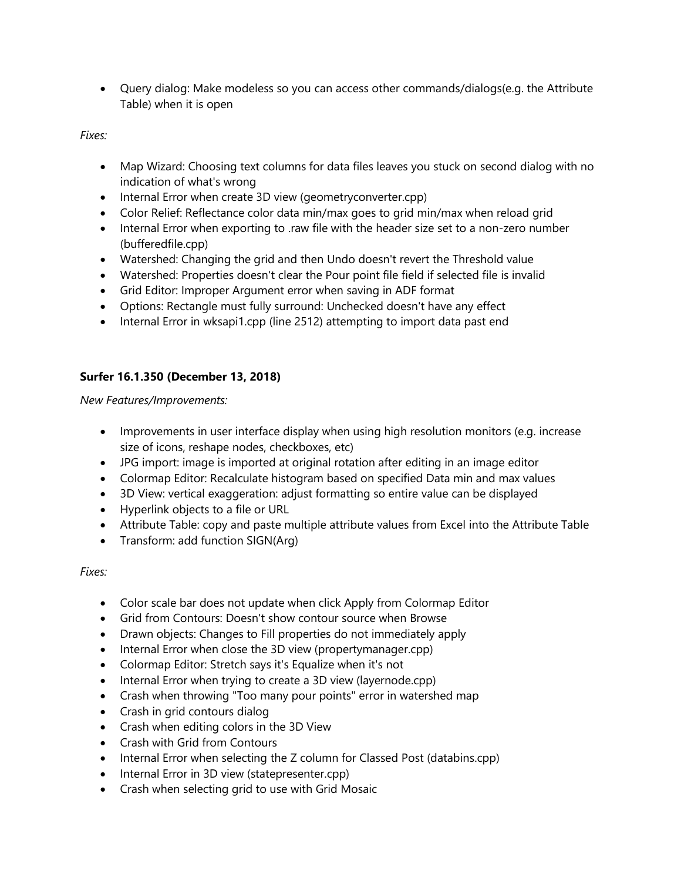Query dialog: Make modeless so you can access other commands/dialogs(e.g. the Attribute Table) when it is open

*Fixes:*

- Map Wizard: Choosing text columns for data files leaves you stuck on second dialog with no indication of what's wrong
- Internal Error when create 3D view (geometryconverter.cpp)
- Color Relief: Reflectance color data min/max goes to grid min/max when reload grid
- Internal Error when exporting to .raw file with the header size set to a non-zero number (bufferedfile.cpp)
- Watershed: Changing the grid and then Undo doesn't revert the Threshold value
- Watershed: Properties doesn't clear the Pour point file field if selected file is invalid
- Grid Editor: Improper Argument error when saving in ADF format
- Options: Rectangle must fully surround: Unchecked doesn't have any effect
- Internal Error in wksapi1.cpp (line 2512) attempting to import data past end

# **Surfer 16.1.350 (December 13, 2018)**

*New Features/Improvements:*

- Improvements in user interface display when using high resolution monitors (e.g. increase size of icons, reshape nodes, checkboxes, etc)
- JPG import: image is imported at original rotation after editing in an image editor
- Colormap Editor: Recalculate histogram based on specified Data min and max values
- 3D View: vertical exaggeration: adjust formatting so entire value can be displayed
- Hyperlink objects to a file or URL
- Attribute Table: copy and paste multiple attribute values from Excel into the Attribute Table
- Transform: add function SIGN(Arg)

*Fixes:*

- Color scale bar does not update when click Apply from Colormap Editor
- Grid from Contours: Doesn't show contour source when Browse
- Drawn objects: Changes to Fill properties do not immediately apply
- Internal Error when close the 3D view (propertymanager.cpp)
- Colormap Editor: Stretch says it's Equalize when it's not
- Internal Error when trying to create a 3D view (layernode.cpp)
- Crash when throwing "Too many pour points" error in watershed map
- Crash in grid contours dialog
- Crash when editing colors in the 3D View
- Crash with Grid from Contours
- Internal Error when selecting the Z column for Classed Post (databins.cpp)
- Internal Error in 3D view (statepresenter.cpp)
- Crash when selecting grid to use with Grid Mosaic